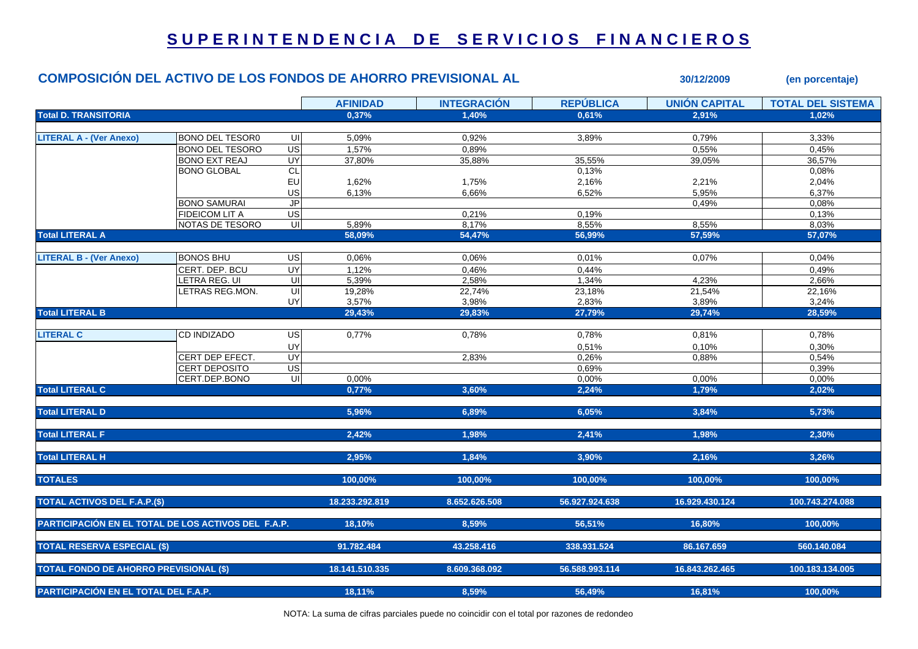## SUPERINTENDENCIA DE SERVICIOS FINANCIEROS

## **COMPOSICIÓN DEL ACTIVO DE LOS FONDOS DE AHORRO PREVISIONAL AL 30/12/2009** *(en porcentaje)*

**AFINIDAD INTEGRACIÓN REPÚBLICA UNIÓN CAPITAL TOTAL DEL SISTEMATotal D. TRANSITORIA 0,37% 1,40% 0,61% 2,91% 1,02% LITERAL A - (Ver Anexo)** BONO DEL TESOR0 UI 5,09% 0,92% 3,89% 0,79% 3,33%  $BONO$  DEL TESORO US 1.57% 0.89% 0.89% 0.55% 0.55% 0.45% BONO EXT REAJ UY| 37,80% 35,88% 35,55% 39,05% 36,57% BONO GLOBAL CL $\mathsf{L}|\mathsf{1}|\mathsf{1}|\mathsf{1}|\mathsf{1}|\mathsf{1}|\mathsf{1}|\mathsf{1}|\mathsf{1}|\mathsf{1}|\mathsf{1}|\mathsf{1}|\mathsf{1}|\mathsf{1}|\mathsf{1}|\mathsf{1}|\mathsf{1}|\mathsf{1}|\mathsf{1}|\mathsf{1}|\mathsf{1}|\mathsf{1}|\mathsf{1}|\mathsf{1}|\mathsf{1}|\mathsf{1}|\mathsf{1}|\mathsf{1}|\mathsf{1}|\mathsf{1}|\mathsf{1}|\mathsf{1}|\mathsf{1}|\mathsf{1}|\mathsf{1}|\mathsf{1}|\mathsf{$ EU 1,62% 1,75% 2,16% 2,21% 2,04% US| 6,13% 6,66% 6,52% 5,95% | 6,37% BONO SAMURAI JPPlant to the control of the control of the control of the control of the control of the control of the control o FIDEICOM LIT A US| 0,21% 0,19% 0,13%  $NOTAS$  DE TESORO UI  $5.89\%$  8,17% 8,55% 8,55% 8,55% 8,03% 8,03% **Total LITERAL A 58,09% 54,47% 56,99% 57,59% 57,07% LITERAL B - (Ver Anexo)** BONOS BHU US 0,06% 0,06% 0,01% 0,07% 0,04% CERT. DEP. BCU UY| 1,12% 0,46% 0,44% 0,49% LETRA REG. UI UI 5,39% 2,58% 1,34% 4,23% 2,66% LETRAS REG.MON. UI 19,28% 22,74% 23,18% 21,54% 22,16% UY| 3,57% 3,98% 2,83% 3,89% | 3,24% **Total LITERAL B 29,43% 29,83% 27,79% 29,74% 28,59% LITERAL C**C 0.77% 0.78% 0.78% 0.81% 0.78% UY $\mathsf{Y} |$  . The contract of the contract of the contract of the contract of the contract of the contract of the contract of the contract of the contract of the contract of the contract of the contract of the contract of t CERT DEP EFECT. UY 2,83% 0,26% 0,88% 0,54% CERT DEPOSITO US 0,69% 0,39% CERT.DEP.BONO UI| 0,00% 0.00% 0,00% 0,00% 0,00% 0,00% 0,00% 0,00% 0,00% **Total LITERAL C 0,77% 3,60% 2,24% 1,79% 2,02% Total LITERAL D 5,96% 6,89% 6,05% 3,84% 5,73% Total LITERAL F 2,42% 1,98% 2,41% 1,98% 2,30% Total LITERAL H 2,95% 1,84% 3,90% 2,16% 3,26% TOTALES 100,00% 100,00% 100,00% 100,00% 100,00% TOTAL ACTIVOS DEL F.A.P.(\$) 18.233.292.819 8.652.626.508 56.927.924.638 16.929.430.124 100.743.274.088 PARTICIPACIÓN EN EL TOTAL DE LOS ACTIVOS DEL F.A.P. 18,10% 8,59% 56,51% 16,80% 100,00% TOTAL RESERVA ESPECIAL (\$) 91.782.484 43.258.416 338.931.524 86.167.659 560.140.084 TOTAL FONDO DE AHORRO PREVISIONAL (\$) 18.141.510.335 8.609.368.092 56.588.993.114 16.843.262.465 100.183.134.005 PARTICIPACIÓN EN EL TOTAL DEL F.A.P. 18,11% 8,59% 56,49% 16,81% 100,00%**